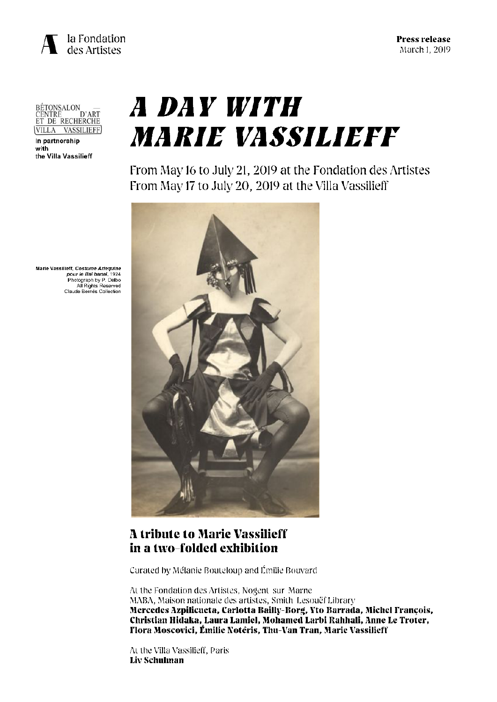

BÉTONSALON —<br>CENTRE D'ART<br>ET DE RECHERCHE VILLA VASSILIEFF

In partnership with the Villa Vassilieff

# *A DAY WITH* **MARIE VASSILIEFF**

From May 16 to July 21, 2019 at the Fondation des Artistes From May 17 to July 20, 2019 at the Villa Vassilieff



# **A tribute to Marie Vassilieff** in a two-folded exhibition

Curated by Mélanie Bouteloup and Émilie Bouvard

At the Fondation des Artistes, Nogent-sur-Marne MABA, Maison nationale des artistes, Smith-Lesouëf Library Mercedes Azpilicueta, Carlotta Bailly-Borg, Yto Barrada, Michel François, Christian Hidaka, Laura Lamiel, Mohamed Larbi Rahhali, Anne Le Troter, Tlora Moscovici, Émilie Notéris, Thu-Van Tran, Marie Vassilieff

At the Villa Vassilieff, Paris Liv Schulman

Marie Vassilieff, Costume Arlequine<br>244 pour le Bal banal, 1924 Photograph by P. Delbo<br>All Rights Reserved Claude Bernès Collection